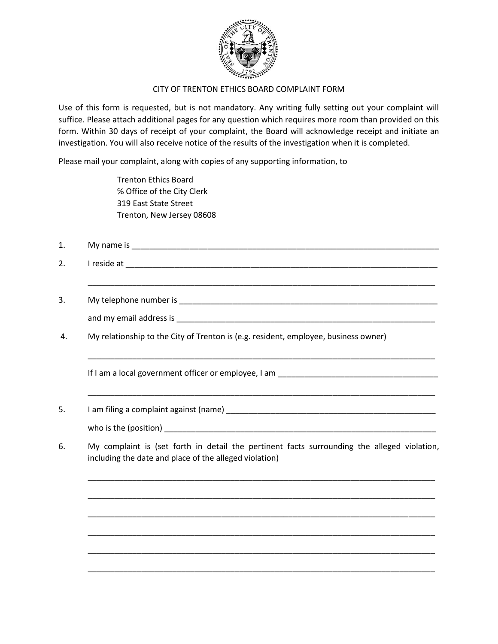

## CITY OF TRENTON ETHICS BOARD COMPLAINT FORM

Use of this form is requested, but is not mandatory. Any writing fully setting out your complaint will suffice. Please attach additional pages for any question which requires more room than provided on this form. Within 30 days of receipt of your complaint, the Board will acknowledge receipt and initiate an investigation. You will also receive notice of the results of the investigation when it is completed.

Please mail your complaint, along with copies of any supporting information, to

Trenton Ethics Board ℅ Office of the City Clerk 319 East State Street Trenton, New Jersey 08608

- 1. My name is
- 2. I reside at  $\blacksquare$

\_\_\_\_\_\_\_\_\_\_\_\_\_\_\_\_\_\_\_\_\_\_\_\_\_\_\_\_\_\_\_\_\_\_\_\_\_\_\_\_\_\_\_\_\_\_\_\_\_\_\_\_\_\_\_\_\_\_\_\_\_\_\_\_\_\_\_\_\_\_\_\_\_\_\_\_\_\_

\_\_\_\_\_\_\_\_\_\_\_\_\_\_\_\_\_\_\_\_\_\_\_\_\_\_\_\_\_\_\_\_\_\_\_\_\_\_\_\_\_\_\_\_\_\_\_\_\_\_\_\_\_\_\_\_\_\_\_\_\_\_\_\_\_\_\_\_\_\_\_\_\_\_\_\_\_\_

\_\_\_\_\_\_\_\_\_\_\_\_\_\_\_\_\_\_\_\_\_\_\_\_\_\_\_\_\_\_\_\_\_\_\_\_\_\_\_\_\_\_\_\_\_\_\_\_\_\_\_\_\_\_\_\_\_\_\_\_\_\_\_\_\_\_\_\_\_\_\_\_\_\_\_\_\_\_

- 3. My telephone number is \_\_\_\_\_\_\_\_\_\_\_\_\_\_\_\_\_\_\_\_\_\_\_\_\_\_\_\_\_\_\_\_\_\_\_\_\_\_\_\_\_\_\_\_\_\_\_\_\_\_\_\_\_\_\_\_\_\_ and my email address is
- 4. My relationship to the City of Trenton is (e.g. resident, employee, business owner)

If I am a local government officer or employee, I am

5. I am filing a complaint against (name) **Source 10** and the summan control of the set of the set of the set of the set of the set of the set of the set of the set of the set of the set of the set of the set of the set of

who is the (position) and the state of  $\mathcal{L}$  is the state of  $\mathcal{L}$  is the state of  $\mathcal{L}$ 

6. My complaint is (set forth in detail the pertinent facts surrounding the alleged violation, including the date and place of the alleged violation)

\_\_\_\_\_\_\_\_\_\_\_\_\_\_\_\_\_\_\_\_\_\_\_\_\_\_\_\_\_\_\_\_\_\_\_\_\_\_\_\_\_\_\_\_\_\_\_\_\_\_\_\_\_\_\_\_\_\_\_\_\_\_\_\_\_\_\_\_\_\_\_\_\_\_\_\_\_\_

\_\_\_\_\_\_\_\_\_\_\_\_\_\_\_\_\_\_\_\_\_\_\_\_\_\_\_\_\_\_\_\_\_\_\_\_\_\_\_\_\_\_\_\_\_\_\_\_\_\_\_\_\_\_\_\_\_\_\_\_\_\_\_\_\_\_\_\_\_\_\_\_\_\_\_\_\_\_

\_\_\_\_\_\_\_\_\_\_\_\_\_\_\_\_\_\_\_\_\_\_\_\_\_\_\_\_\_\_\_\_\_\_\_\_\_\_\_\_\_\_\_\_\_\_\_\_\_\_\_\_\_\_\_\_\_\_\_\_\_\_\_\_\_\_\_\_\_\_\_\_\_\_\_\_\_\_

\_\_\_\_\_\_\_\_\_\_\_\_\_\_\_\_\_\_\_\_\_\_\_\_\_\_\_\_\_\_\_\_\_\_\_\_\_\_\_\_\_\_\_\_\_\_\_\_\_\_\_\_\_\_\_\_\_\_\_\_\_\_\_\_\_\_\_\_\_\_\_\_\_\_\_\_\_\_

\_\_\_\_\_\_\_\_\_\_\_\_\_\_\_\_\_\_\_\_\_\_\_\_\_\_\_\_\_\_\_\_\_\_\_\_\_\_\_\_\_\_\_\_\_\_\_\_\_\_\_\_\_\_\_\_\_\_\_\_\_\_\_\_\_\_\_\_\_\_\_\_\_\_\_\_\_\_

\_\_\_\_\_\_\_\_\_\_\_\_\_\_\_\_\_\_\_\_\_\_\_\_\_\_\_\_\_\_\_\_\_\_\_\_\_\_\_\_\_\_\_\_\_\_\_\_\_\_\_\_\_\_\_\_\_\_\_\_\_\_\_\_\_\_\_\_\_\_\_\_\_\_\_\_\_\_